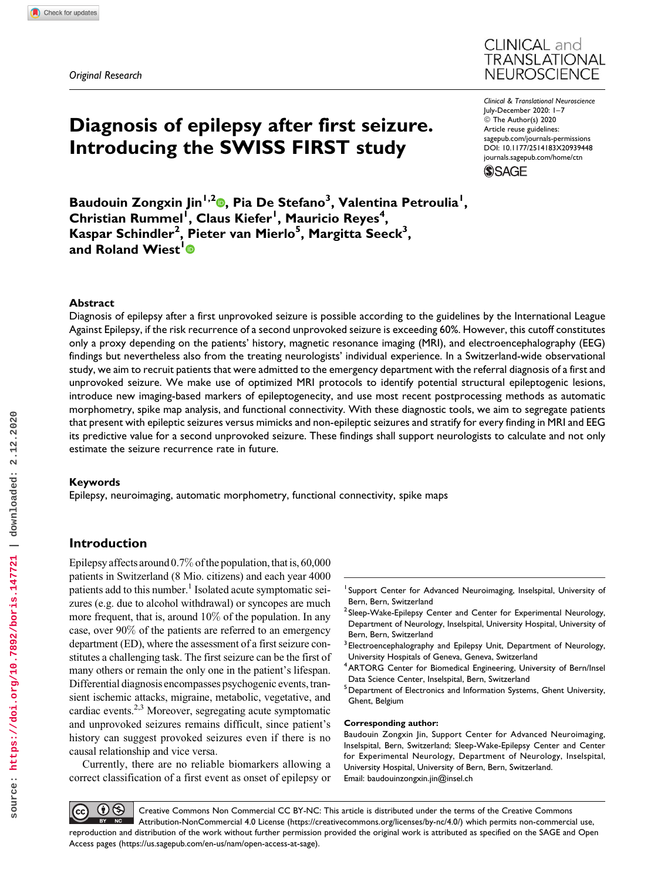Original Research



Clinical & Translational Neuroscience July-December 2020: 1–7 © The Author(s) 2020 Article reuse guidelines: [sagepub.com/journals-permissions](https://sagepub.com/journals-permissions) [DOI: 10.1177/2514183X20939448](https://doi.org/10.1177/2514183X20939448) [journals.sagepub.com/home/ctn](http://journals.sagepub.com/home/ctn)

**SSAGE** 

Baudouin Zongxin Jin<sup>1,2</sup>®, Pia De Stefano<sup>3</sup>, Valentina Petroulia<sup>1</sup>, Christian Rummel<sup>i</sup>, Claus Kiefer<sup>1</sup>, Mauricio Reyes<sup>4</sup>, Kaspar Schindler<sup>2</sup>, Pieter van Mierlo<sup>5</sup>, Margitta Seeck<sup>3</sup>, and Roland Wiest<sup>[1](https://orcid.org/0000-0001-7030-2045)</sup>

Diagnosis of epilepsy after first seizure.

Introducing the SWISS FIRST study

### Abstract

Diagnosis of epilepsy after a first unprovoked seizure is possible according to the guidelines by the International League Against Epilepsy, if the risk recurrence of a second unprovoked seizure is exceeding 60%. However, this cutoff constitutes only a proxy depending on the patients' history, magnetic resonance imaging (MRI), and electroencephalography (EEG) findings but nevertheless also from the treating neurologists' individual experience. In a Switzerland-wide observational study, we aim to recruit patients that were admitted to the emergency department with the referral diagnosis of a first and unprovoked seizure. We make use of optimized MRI protocols to identify potential structural epileptogenic lesions, introduce new imaging-based markers of epileptogenecity, and use most recent postprocessing methods as automatic morphometry, spike map analysis, and functional connectivity. With these diagnostic tools, we aim to segregate patients that present with epileptic seizures versus mimicks and non-epileptic seizures and stratify for every finding in MRI and EEG its predictive value for a second unprovoked seizure. These findings shall support neurologists to calculate and not only estimate the seizure recurrence rate in future.

### Keywords

Epilepsy, neuroimaging, automatic morphometry, functional connectivity, spike maps

## Introduction

Epilepsy affects around 0.7% of the population, that is, 60,000 patients in Switzerland (8 Mio. citizens) and each year 4000 patients add to this number.<sup>1</sup> Isolated acute symptomatic seizures (e.g. due to alcohol withdrawal) or syncopes are much more frequent, that is, around 10% of the population. In any case, over 90% of the patients are referred to an emergency department (ED), where the assessment of a first seizure constitutes a challenging task. The first seizure can be the first of many others or remain the only one in the patient's lifespan. Differential diagnosis encompasses psychogenic events, transient ischemic attacks, migraine, metabolic, vegetative, and cardiac events.<sup>2,3</sup> Moreover, segregating acute symptomatic and unprovoked seizures remains difficult, since patient's history can suggest provoked seizures even if there is no causal relationship and vice versa.

Currently, there are no reliable biomarkers allowing a correct classification of a first event as onset of epilepsy or

- <sup>1</sup> Support Center for Advanced Neuroimaging, Inselspital, University of Bern, Bern, Switzerland
- <sup>2</sup> Sleep-Wake-Epilepsy Center and Center for Experimental Neurology, Department of Neurology, Inselspital, University Hospital, University of Bern, Bern, Switzerland
- <sup>3</sup> Electroencephalography and Epilepsy Unit, Department of Neurology, University Hospitals of Geneva, Geneva, Switzerland
- 4ARTORG Center for Biomedical Engineering, University of Bern/Insel Data Science Center, Inselspital, Bern, Switzerland
- <sup>5</sup> Department of Electronics and Information Systems, Ghent University, Ghent, Belgium

#### Corresponding author:

Baudouin Zongxin Jin, Support Center for Advanced Neuroimaging, Inselspital, Bern, Switzerland; Sleep-Wake-Epilepsy Center and Center for Experimental Neurology, Department of Neurology, Inselspital, University Hospital, University of Bern, Bern, Switzerland. Email: [baudouinzongxin.jin@insel.ch](mailto:baudouinzongxin.jin@insel.ch)

 $\left( \mathbf{0} \right)$  $(cc)$ Creative Commons Non Commercial CC BY-NC: This article is distributed under the terms of the Creative Commons  $BY$  NC Attribution-NonCommercial 4.0 License ([https://creativecommons.org/licenses/by-nc/4.0/\)](https://creativecommons.org/licenses/by-nc/4.0/) which permits non-commercial use, reproduction and distribution of the work without further permission provided the original work is attributed as specified on the SAGE and Open Access pages (<https://us.sagepub.com/en-us/nam/open-access-at-sage>).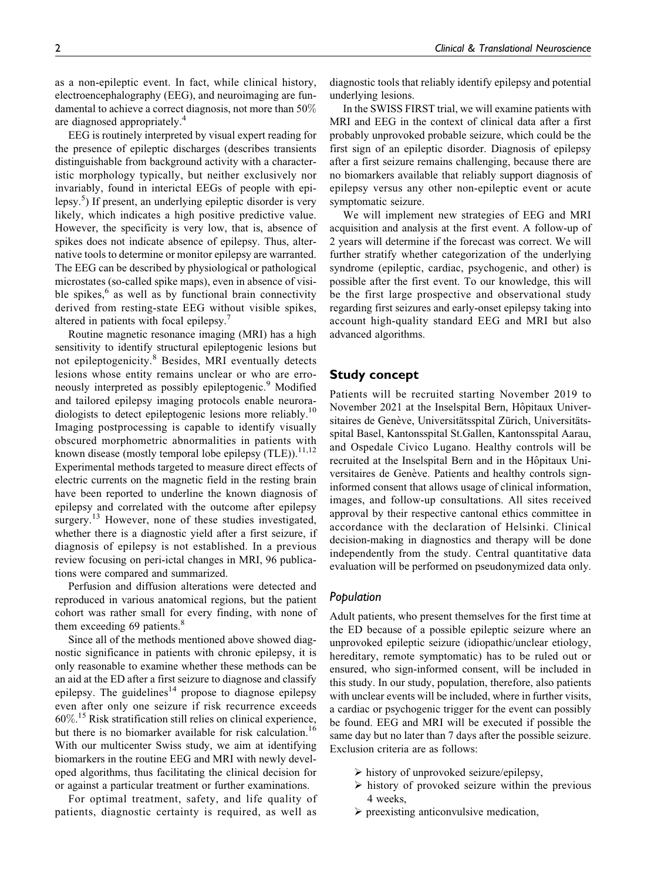as a non-epileptic event. In fact, while clinical history, electroencephalography (EEG), and neuroimaging are fundamental to achieve a correct diagnosis, not more than 50% are diagnosed appropriately.<sup>4</sup>

EEG is routinely interpreted by visual expert reading for the presence of epileptic discharges (describes transients distinguishable from background activity with a characteristic morphology typically, but neither exclusively nor invariably, found in interictal EEGs of people with epilepsy.<sup>5</sup> ) If present, an underlying epileptic disorder is very likely, which indicates a high positive predictive value. However, the specificity is very low, that is, absence of spikes does not indicate absence of epilepsy. Thus, alternative tools to determine or monitor epilepsy are warranted. The EEG can be described by physiological or pathological microstates (so-called spike maps), even in absence of visible spikes, $6$  as well as by functional brain connectivity derived from resting-state EEG without visible spikes, altered in patients with focal epilepsy.<sup>7</sup>

Routine magnetic resonance imaging (MRI) has a high sensitivity to identify structural epileptogenic lesions but not epileptogenicity.<sup>8</sup> Besides, MRI eventually detects lesions whose entity remains unclear or who are erroneously interpreted as possibly epileptogenic.<sup>9</sup> Modified and tailored epilepsy imaging protocols enable neuroradiologists to detect epileptogenic lesions more reliably.<sup>10</sup> Imaging postprocessing is capable to identify visually obscured morphometric abnormalities in patients with known disease (mostly temporal lobe epilepsy  $(TLE)$ ).<sup>11,12</sup> Experimental methods targeted to measure direct effects of electric currents on the magnetic field in the resting brain have been reported to underline the known diagnosis of epilepsy and correlated with the outcome after epilepsy surgery.<sup>13</sup> However, none of these studies investigated, whether there is a diagnostic yield after a first seizure, if diagnosis of epilepsy is not established. In a previous review focusing on peri-ictal changes in MRI, 96 publications were compared and summarized.

Perfusion and diffusion alterations were detected and reproduced in various anatomical regions, but the patient cohort was rather small for every finding, with none of them exceeding 69 patients.<sup>8</sup>

Since all of the methods mentioned above showed diagnostic significance in patients with chronic epilepsy, it is only reasonable to examine whether these methods can be an aid at the ED after a first seizure to diagnose and classify epilepsy. The guidelines $14$  propose to diagnose epilepsy even after only one seizure if risk recurrence exceeds 60%. <sup>15</sup> Risk stratification still relies on clinical experience, but there is no biomarker available for risk calculation.<sup>16</sup> With our multicenter Swiss study, we aim at identifying biomarkers in the routine EEG and MRI with newly developed algorithms, thus facilitating the clinical decision for or against a particular treatment or further examinations.

For optimal treatment, safety, and life quality of patients, diagnostic certainty is required, as well as

diagnostic tools that reliably identify epilepsy and potential underlying lesions.

In the SWISS FIRST trial, we will examine patients with MRI and EEG in the context of clinical data after a first probably unprovoked probable seizure, which could be the first sign of an epileptic disorder. Diagnosis of epilepsy after a first seizure remains challenging, because there are no biomarkers available that reliably support diagnosis of epilepsy versus any other non-epileptic event or acute symptomatic seizure.

We will implement new strategies of EEG and MRI acquisition and analysis at the first event. A follow-up of 2 years will determine if the forecast was correct. We will further stratify whether categorization of the underlying syndrome (epileptic, cardiac, psychogenic, and other) is possible after the first event. To our knowledge, this will be the first large prospective and observational study regarding first seizures and early-onset epilepsy taking into account high-quality standard EEG and MRI but also advanced algorithms.

### Study concept

Patients will be recruited starting November 2019 to November 2021 at the Inselspital Bern, Hôpitaux Universitaires de Genève, Universitätsspital Zürich, Universitätsspital Basel, Kantonsspital St.Gallen, Kantonsspital Aarau, and Ospedale Civico Lugano. Healthy controls will be recruited at the Inselspital Bern and in the Hôpitaux Universitaires de Genève. Patients and healthy controls signinformed consent that allows usage of clinical information, images, and follow-up consultations. All sites received approval by their respective cantonal ethics committee in accordance with the declaration of Helsinki. Clinical decision-making in diagnostics and therapy will be done independently from the study. Central quantitative data evaluation will be performed on pseudonymized data only.

### Population

Adult patients, who present themselves for the first time at the ED because of a possible epileptic seizure where an unprovoked epileptic seizure (idiopathic/unclear etiology, hereditary, remote symptomatic) has to be ruled out or ensured, who sign-informed consent, will be included in this study. In our study, population, therefore, also patients with unclear events will be included, where in further visits, a cardiac or psychogenic trigger for the event can possibly be found. EEG and MRI will be executed if possible the same day but no later than 7 days after the possible seizure. Exclusion criteria are as follows:

- history of unprovoked seizure/epilepsy,
- $\triangleright$  history of provoked seizure within the previous 4 weeks,
- $\triangleright$  preexisting anticonvulsive medication,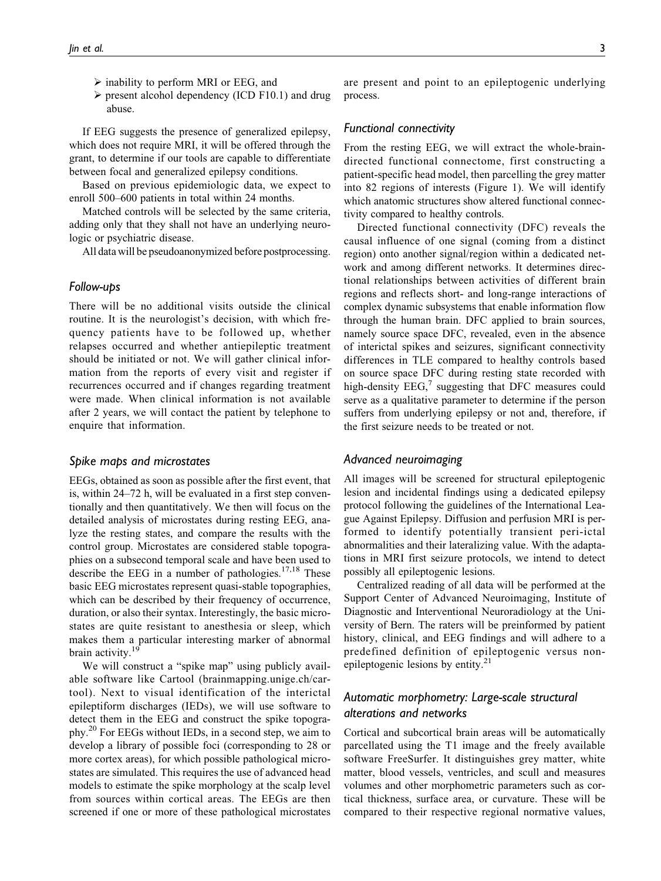- inability to perform MRI or EEG, and
- $\triangleright$  present alcohol dependency (ICD F10.1) and drug abuse.

If EEG suggests the presence of generalized epilepsy, which does not require MRI, it will be offered through the grant, to determine if our tools are capable to differentiate between focal and generalized epilepsy conditions.

Based on previous epidemiologic data, we expect to enroll 500–600 patients in total within 24 months.

Matched controls will be selected by the same criteria, adding only that they shall not have an underlying neurologic or psychiatric disease.

All data will be pseudoanonymized before postprocessing.

### Follow-ups

There will be no additional visits outside the clinical routine. It is the neurologist's decision, with which frequency patients have to be followed up, whether relapses occurred and whether antiepileptic treatment should be initiated or not. We will gather clinical information from the reports of every visit and register if recurrences occurred and if changes regarding treatment were made. When clinical information is not available after 2 years, we will contact the patient by telephone to enquire that information.

### Spike maps and microstates

EEGs, obtained as soon as possible after the first event, that is, within 24–72 h, will be evaluated in a first step conventionally and then quantitatively. We then will focus on the detailed analysis of microstates during resting EEG, analyze the resting states, and compare the results with the control group. Microstates are considered stable topographies on a subsecond temporal scale and have been used to describe the EEG in a number of pathologies. $17,18$  These basic EEG microstates represent quasi-stable topographies, which can be described by their frequency of occurrence, duration, or also their syntax. Interestingly, the basic microstates are quite resistant to anesthesia or sleep, which makes them a particular interesting marker of abnormal brain activity.<sup>19</sup>

We will construct a "spike map" using publicly available software like Cartool (brainmapping.unige.ch/cartool). Next to visual identification of the interictal epileptiform discharges (IEDs), we will use software to detect them in the EEG and construct the spike topography.<sup>20</sup> For EEGs without IEDs, in a second step, we aim to develop a library of possible foci (corresponding to 28 or more cortex areas), for which possible pathological microstates are simulated. This requires the use of advanced head models to estimate the spike morphology at the scalp level from sources within cortical areas. The EEGs are then screened if one or more of these pathological microstates

are present and point to an epileptogenic underlying process.

### Functional connectivity

From the resting EEG, we will extract the whole-braindirected functional connectome, first constructing a patient-specific head model, then parcelling the grey matter into 82 regions of interests (Figure 1). We will identify which anatomic structures show altered functional connectivity compared to healthy controls.

Directed functional connectivity (DFC) reveals the causal influence of one signal (coming from a distinct region) onto another signal/region within a dedicated network and among different networks. It determines directional relationships between activities of different brain regions and reflects short- and long-range interactions of complex dynamic subsystems that enable information flow through the human brain. DFC applied to brain sources, namely source space DFC, revealed, even in the absence of interictal spikes and seizures, significant connectivity differences in TLE compared to healthy controls based on source space DFC during resting state recorded with high-density  $EEG<sub>1</sub><sup>7</sup>$  suggesting that DFC measures could serve as a qualitative parameter to determine if the person suffers from underlying epilepsy or not and, therefore, if the first seizure needs to be treated or not.

### Advanced neuroimaging

All images will be screened for structural epileptogenic lesion and incidental findings using a dedicated epilepsy protocol following the guidelines of the International League Against Epilepsy. Diffusion and perfusion MRI is performed to identify potentially transient peri-ictal abnormalities and their lateralizing value. With the adaptations in MRI first seizure protocols, we intend to detect possibly all epileptogenic lesions.

Centralized reading of all data will be performed at the Support Center of Advanced Neuroimaging, Institute of Diagnostic and Interventional Neuroradiology at the University of Bern. The raters will be preinformed by patient history, clinical, and EEG findings and will adhere to a predefined definition of epileptogenic versus nonepileptogenic lesions by entity.<sup>21</sup>

### Automatic morphometry: Large-scale structural alterations and networks

Cortical and subcortical brain areas will be automatically parcellated using the T1 image and the freely available software FreeSurfer. It distinguishes grey matter, white matter, blood vessels, ventricles, and scull and measures volumes and other morphometric parameters such as cortical thickness, surface area, or curvature. These will be compared to their respective regional normative values,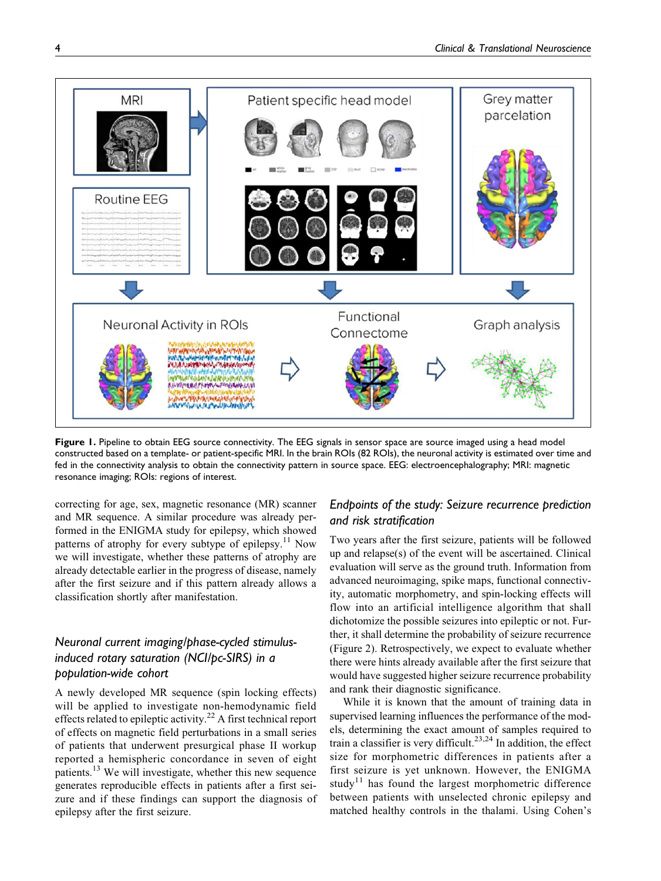

Figure 1. Pipeline to obtain EEG source connectivity. The EEG signals in sensor space are source imaged using a head model constructed based on a template- or patient-specific MRI. In the brain ROIs (82 ROIs), the neuronal activity is estimated over time and fed in the connectivity analysis to obtain the connectivity pattern in source space. EEG: electroencephalography; MRI: magnetic resonance imaging; ROIs: regions of interest.

correcting for age, sex, magnetic resonance (MR) scanner and MR sequence. A similar procedure was already performed in the ENIGMA study for epilepsy, which showed patterns of atrophy for every subtype of epilepsy.<sup>11</sup> Now we will investigate, whether these patterns of atrophy are already detectable earlier in the progress of disease, namely after the first seizure and if this pattern already allows a classification shortly after manifestation.

# Neuronal current imaging/phase-cycled stimulusinduced rotary saturation (NCI/pc-SIRS) in a population-wide cohort

A newly developed MR sequence (spin locking effects) will be applied to investigate non-hemodynamic field effects related to epileptic activity.<sup>22</sup> A first technical report of effects on magnetic field perturbations in a small series of patients that underwent presurgical phase II workup reported a hemispheric concordance in seven of eight patients.<sup>13</sup> We will investigate, whether this new sequence generates reproducible effects in patients after a first seizure and if these findings can support the diagnosis of epilepsy after the first seizure.

# Endpoints of the study: Seizure recurrence prediction and risk stratification

Two years after the first seizure, patients will be followed up and relapse(s) of the event will be ascertained. Clinical evaluation will serve as the ground truth. Information from advanced neuroimaging, spike maps, functional connectivity, automatic morphometry, and spin-locking effects will flow into an artificial intelligence algorithm that shall dichotomize the possible seizures into epileptic or not. Further, it shall determine the probability of seizure recurrence (Figure 2). Retrospectively, we expect to evaluate whether there were hints already available after the first seizure that would have suggested higher seizure recurrence probability and rank their diagnostic significance.

While it is known that the amount of training data in supervised learning influences the performance of the models, determining the exact amount of samples required to train a classifier is very difficult.<sup>23,24</sup> In addition, the effect size for morphometric differences in patients after a first seizure is yet unknown. However, the ENIGMA study<sup>11</sup> has found the largest morphometric difference between patients with unselected chronic epilepsy and matched healthy controls in the thalami. Using Cohen's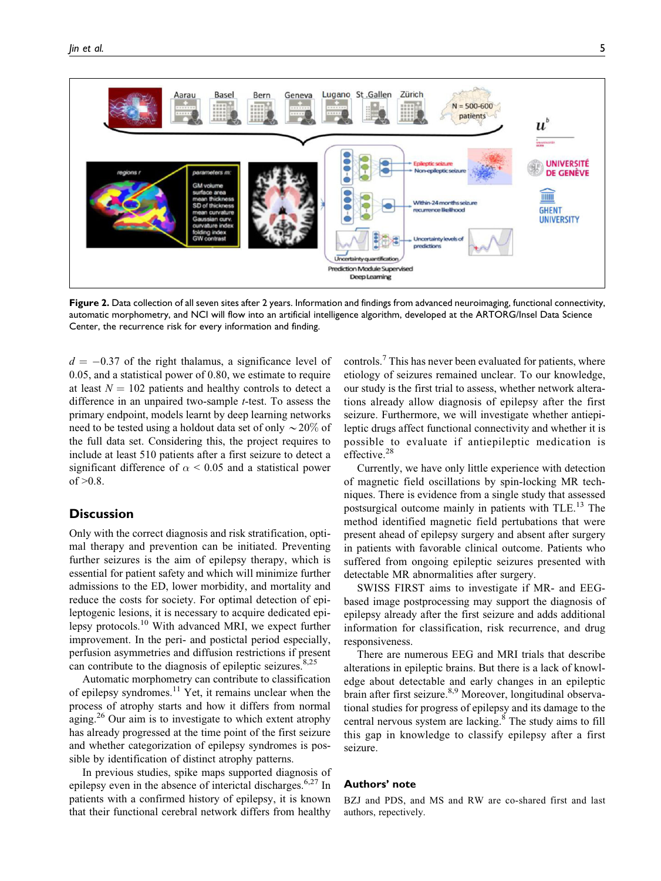

Figure 2. Data collection of all seven sites after 2 years. Information and findings from advanced neuroimaging, functional connectivity, automatic morphometry, and NCI will flow into an artificial intelligence algorithm, developed at the ARTORG/Insel Data Science Center, the recurrence risk for every information and finding.

 $d = -0.37$  of the right thalamus, a significance level of 0.05, and a statistical power of 0.80, we estimate to require at least  $N = 102$  patients and healthy controls to detect a difference in an unpaired two-sample t-test. To assess the primary endpoint, models learnt by deep learning networks need to be tested using a holdout data set of only  $\sim$  20% of the full data set. Considering this, the project requires to include at least 510 patients after a first seizure to detect a significant difference of  $\alpha$  < 0.05 and a statistical power of  $>0.8$ .

### **Discussion**

Only with the correct diagnosis and risk stratification, optimal therapy and prevention can be initiated. Preventing further seizures is the aim of epilepsy therapy, which is essential for patient safety and which will minimize further admissions to the ED, lower morbidity, and mortality and reduce the costs for society. For optimal detection of epileptogenic lesions, it is necessary to acquire dedicated epilepsy protocols.10 With advanced MRI, we expect further improvement. In the peri- and postictal period especially, perfusion asymmetries and diffusion restrictions if present can contribute to the diagnosis of epileptic seizures. $8,25$ 

Automatic morphometry can contribute to classification of epilepsy syndromes.<sup>11</sup> Yet, it remains unclear when the process of atrophy starts and how it differs from normal aging.<sup>26</sup> Our aim is to investigate to which extent atrophy has already progressed at the time point of the first seizure and whether categorization of epilepsy syndromes is possible by identification of distinct atrophy patterns.

In previous studies, spike maps supported diagnosis of epilepsy even in the absence of interictal discharges.<sup>6,27</sup> In patients with a confirmed history of epilepsy, it is known that their functional cerebral network differs from healthy

controls.<sup>7</sup> This has never been evaluated for patients, where etiology of seizures remained unclear. To our knowledge, our study is the first trial to assess, whether network alterations already allow diagnosis of epilepsy after the first seizure. Furthermore, we will investigate whether antiepileptic drugs affect functional connectivity and whether it is possible to evaluate if antiepileptic medication is effective.<sup>28</sup>

Currently, we have only little experience with detection of magnetic field oscillations by spin-locking MR techniques. There is evidence from a single study that assessed postsurgical outcome mainly in patients with TLE.<sup>13</sup> The method identified magnetic field pertubations that were present ahead of epilepsy surgery and absent after surgery in patients with favorable clinical outcome. Patients who suffered from ongoing epileptic seizures presented with detectable MR abnormalities after surgery.

SWISS FIRST aims to investigate if MR- and EEGbased image postprocessing may support the diagnosis of epilepsy already after the first seizure and adds additional information for classification, risk recurrence, and drug responsiveness.

There are numerous EEG and MRI trials that describe alterations in epileptic brains. But there is a lack of knowledge about detectable and early changes in an epileptic brain after first seizure.<sup>8,9</sup> Moreover, longitudinal observational studies for progress of epilepsy and its damage to the central nervous system are lacking.<sup>8</sup> The study aims to fill this gap in knowledge to classify epilepsy after a first seizure.

### Authors' note

BZJ and PDS, and MS and RW are co-shared first and last authors, repectively.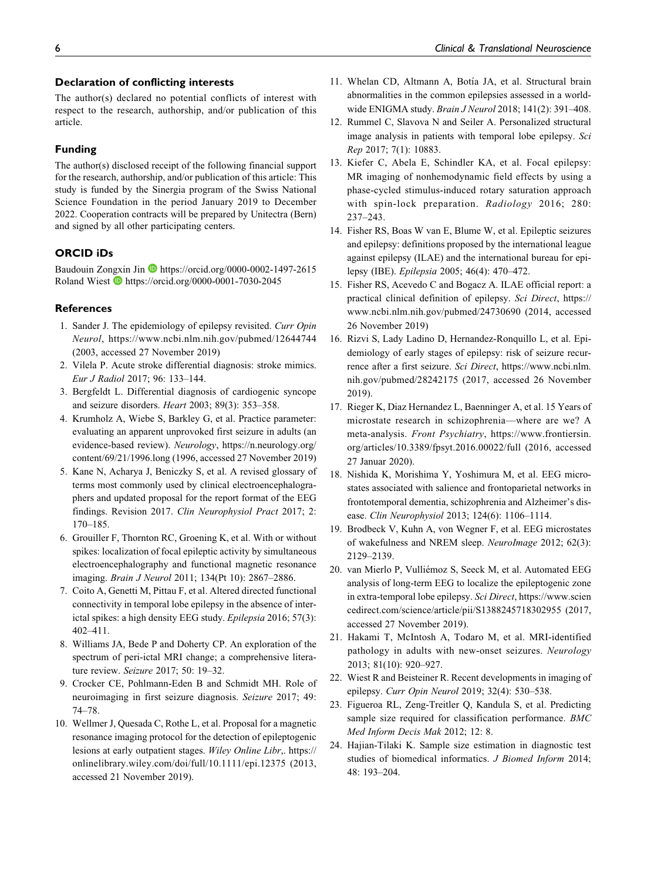### Declaration of conflicting interests

The author(s) declared no potential conflicts of interest with respect to the research, authorship, and/or publication of this article.

### Funding

The author(s) disclosed receipt of the following financial support for the research, authorship, and/or publication of this article: This study is funded by the Sinergia program of the Swiss National Science Foundation in the period January 2019 to December 2022. Cooperation contracts will be prepared by Unitectra (Bern) and signed by all other participating centers.

### ORCID iDs

Baudouin Zongxin Jin D <https://orcid.org/0000-0002-1497-2615> Roland Wiest **<https://orcid.org/0000-0001-7030-2045>** 

#### **References**

- 1. Sander J. The epidemiology of epilepsy revisited. Curr Opin Neurol,<https://www.ncbi.nlm.nih.gov/pubmed/12644744> (2003, accessed 27 November 2019)
- 2. Vilela P. Acute stroke differential diagnosis: stroke mimics. Eur J Radiol 2017; 96: 133–144.
- 3. Bergfeldt L. Differential diagnosis of cardiogenic syncope and seizure disorders. Heart 2003; 89(3): 353–358.
- 4. Krumholz A, Wiebe S, Barkley G, et al. Practice parameter: evaluating an apparent unprovoked first seizure in adults (an evidence-based review). Neurology, [https://n.neurology.org/](https://n.neurology.org/content/69/21/1996.long) [content/69/21/1996.long](https://n.neurology.org/content/69/21/1996.long) (1996, accessed 27 November 2019)
- 5. Kane N, Acharya J, Beniczky S, et al. A revised glossary of terms most commonly used by clinical electroencephalographers and updated proposal for the report format of the EEG findings. Revision 2017. Clin Neurophysiol Pract 2017; 2: 170–185.
- 6. Grouiller F, Thornton RC, Groening K, et al. With or without spikes: localization of focal epileptic activity by simultaneous electroencephalography and functional magnetic resonance imaging. Brain J Neurol 2011; 134(Pt 10): 2867–2886.
- 7. Coito A, Genetti M, Pittau F, et al. Altered directed functional connectivity in temporal lobe epilepsy in the absence of interictal spikes: a high density EEG study. Epilepsia 2016; 57(3): 402–411.
- 8. Williams JA, Bede P and Doherty CP. An exploration of the spectrum of peri-ictal MRI change; a comprehensive literature review. Seizure 2017; 50: 19–32.
- 9. Crocker CE, Pohlmann-Eden B and Schmidt MH. Role of neuroimaging in first seizure diagnosis. Seizure 2017; 49: 74–78.
- 10. Wellmer J, Quesada C, Rothe L, et al. Proposal for a magnetic resonance imaging protocol for the detection of epileptogenic lesions at early outpatient stages. Wiley Online Libr,. [https://](https://onlinelibrary.wiley.com/doi/full/10.1111/epi.12375) [onlinelibrary.wiley.com/doi/full/10.1111/epi.12375](https://onlinelibrary.wiley.com/doi/full/10.1111/epi.12375) (2013, accessed 21 November 2019).
- 11. Whelan CD, Altmann A, Botía JA, et al. Structural brain abnormalities in the common epilepsies assessed in a worldwide ENIGMA study. Brain J Neurol 2018; 141(2): 391–408.
- 12. Rummel C, Slavova N and Seiler A. Personalized structural image analysis in patients with temporal lobe epilepsy. Sci Rep 2017; 7(1): 10883.
- 13. Kiefer C, Abela E, Schindler KA, et al. Focal epilepsy: MR imaging of nonhemodynamic field effects by using a phase-cycled stimulus-induced rotary saturation approach with spin-lock preparation. Radiology 2016; 280: 237–243.
- 14. Fisher RS, Boas W van E, Blume W, et al. Epileptic seizures and epilepsy: definitions proposed by the international league against epilepsy (ILAE) and the international bureau for epilepsy (IBE). Epilepsia 2005; 46(4): 470–472.
- 15. Fisher RS, Acevedo C and Bogacz A. ILAE official report: a practical clinical definition of epilepsy. Sci Direct, [https://](https://www.ncbi.nlm.nih.gov/pubmed/24730690) [www.ncbi.nlm.nih.gov/pubmed/24730690](https://www.ncbi.nlm.nih.gov/pubmed/24730690) (2014, accessed 26 November 2019)
- 16. Rizvi S, Lady Ladino D, Hernandez-Ronquillo L, et al. Epidemiology of early stages of epilepsy: risk of seizure recurrence after a first seizure. Sci Direct, [https://www.ncbi.nlm.](https://www.ncbi.nlm.nih.gov/pubmed/28242175) [nih.gov/pubmed/28242175](https://www.ncbi.nlm.nih.gov/pubmed/28242175) (2017, accessed 26 November 2019).
- 17. Rieger K, Diaz Hernandez L, Baenninger A, et al. 15 Years of microstate research in schizophrenia—where are we? A meta-analysis. Front Psychiatry, [https://www.frontiersin.](https://www.frontiersin.org/articles/10.3389/fpsyt.2016.00022/full) [org/articles/10.3389/fpsyt.2016.00022/full](https://www.frontiersin.org/articles/10.3389/fpsyt.2016.00022/full) (2016, accessed 27 Januar 2020).
- 18. Nishida K, Morishima Y, Yoshimura M, et al. EEG microstates associated with salience and frontoparietal networks in frontotemporal dementia, schizophrenia and Alzheimer's disease. Clin Neurophysiol 2013; 124(6): 1106–1114.
- 19. Brodbeck V, Kuhn A, von Wegner F, et al. EEG microstates of wakefulness and NREM sleep. NeuroImage 2012; 62(3): 2129–2139.
- 20. van Mierlo P, Vulliémoz S, Seeck M, et al. Automated EEG analysis of long-term EEG to localize the epileptogenic zone in extra-temporal lobe epilepsy. Sci Direct, [https://www.scien](https://www.sciencedirect.com/science/article/pii/S1388245718302955) [cedirect.com/science/article/pii/S1388245718302955](https://www.sciencedirect.com/science/article/pii/S1388245718302955) (2017, accessed 27 November 2019).
- 21. Hakami T, McIntosh A, Todaro M, et al. MRI-identified pathology in adults with new-onset seizures. Neurology 2013; 81(10): 920–927.
- 22. Wiest R and Beisteiner R. Recent developments in imaging of epilepsy. Curr Opin Neurol 2019; 32(4): 530–538.
- 23. Figueroa RL, Zeng-Treitler Q, Kandula S, et al. Predicting sample size required for classification performance. BMC Med Inform Decis Mak 2012; 12: 8.
- 24. Hajian-Tilaki K. Sample size estimation in diagnostic test studies of biomedical informatics. J Biomed Inform 2014; 48: 193–204.